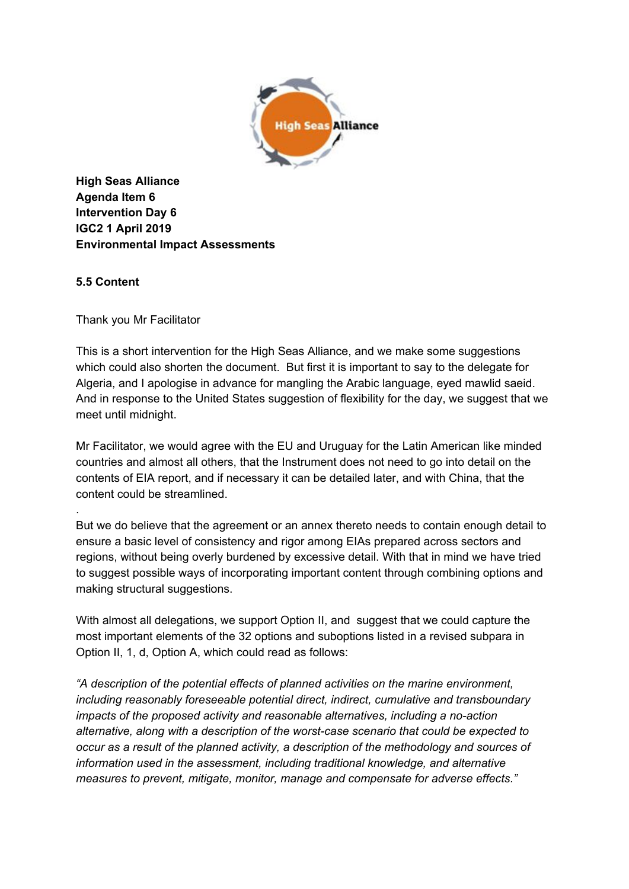

**High Seas Alliance Agenda Item 6 Intervention Day 6 IGC2 1 April 2019 Environmental Impact Assessments**

## **5.5 Content**

.

Thank you Mr Facilitator

This is a short intervention for the High Seas Alliance, and we make some suggestions which could also shorten the document. But first it is important to say to the delegate for Algeria, and I apologise in advance for mangling the Arabic language, eyed mawlid saeid. And in response to the United States suggestion of flexibility for the day, we suggest that we meet until midnight.

Mr Facilitator, we would agree with the EU and Uruguay for the Latin American like minded countries and almost all others, that the Instrument does not need to go into detail on the contents of EIA report, and if necessary it can be detailed later, and with China, that the content could be streamlined.

But we do believe that the agreement or an annex thereto needs to contain enough detail to ensure a basic level of consistency and rigor among EIAs prepared across sectors and regions, without being overly burdened by excessive detail. With that in mind we have tried to suggest possible ways of incorporating important content through combining options and making structural suggestions.

With almost all delegations, we support Option II, and suggest that we could capture the most important elements of the 32 options and suboptions listed in a revised subpara in Option II, 1, d, Option A, which could read as follows:

*"A description of the potential effects of planned activities on the marine environment, including reasonably foreseeable potential direct, indirect, cumulative and transboundary impacts of the proposed activity and reasonable alternatives, including a no-action alternative, along with a description of the worst-case scenario that could be expected to occur as a result of the planned activity, a description of the methodology and sources of information used in the assessment, including traditional knowledge, and alternative measures to prevent, mitigate, monitor, manage and compensate for adverse effects."*